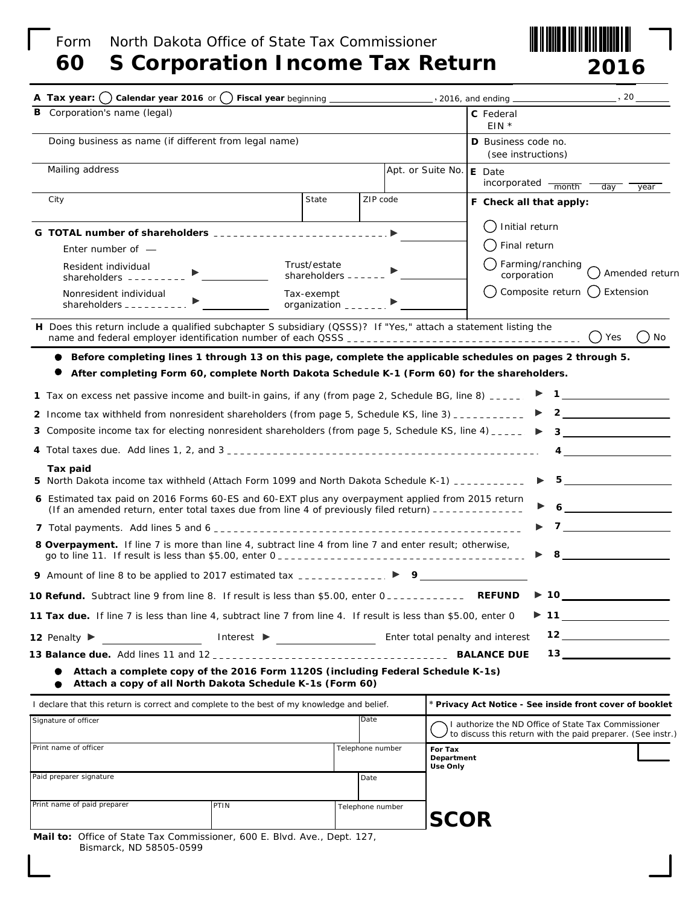## Form North Dakota Office of State Tax Commissioner

# **60 S Corporation Income Tax Return**



| Corporation's name (legal)<br>в                                                                                                                                                                                                                                                                                                                                                                             |                                    |                                           |                       | C Federal<br>$EIN *$                                                                                                                                                                                                                                                                                               |
|-------------------------------------------------------------------------------------------------------------------------------------------------------------------------------------------------------------------------------------------------------------------------------------------------------------------------------------------------------------------------------------------------------------|------------------------------------|-------------------------------------------|-----------------------|--------------------------------------------------------------------------------------------------------------------------------------------------------------------------------------------------------------------------------------------------------------------------------------------------------------------|
| Doing business as name (if different from legal name)                                                                                                                                                                                                                                                                                                                                                       |                                    | D Business code no.<br>(see instructions) |                       |                                                                                                                                                                                                                                                                                                                    |
| Mailing address                                                                                                                                                                                                                                                                                                                                                                                             |                                    |                                           | Apt. or Suite No.     | E Date<br>incorporated - month<br>day<br>year                                                                                                                                                                                                                                                                      |
| City                                                                                                                                                                                                                                                                                                                                                                                                        | State                              | ZIP code                                  |                       | F Check all that apply:                                                                                                                                                                                                                                                                                            |
| G TOTAL number of shareholders ___________________________ ▶                                                                                                                                                                                                                                                                                                                                                |                                    |                                           |                       | Initial return                                                                                                                                                                                                                                                                                                     |
| Enter number of $-$                                                                                                                                                                                                                                                                                                                                                                                         |                                    |                                           |                       | Final return                                                                                                                                                                                                                                                                                                       |
| Resident individual<br>shareholders $------$                                                                                                                                                                                                                                                                                                                                                                | Trust/estate<br>shareholders $---$ |                                           |                       | Farming/ranching<br>Amended return<br>corporation                                                                                                                                                                                                                                                                  |
| Nonresident individual                                                                                                                                                                                                                                                                                                                                                                                      | Tax-exempt<br>organization $---$   |                                           |                       | Composite return<br>Extension<br>(                                                                                                                                                                                                                                                                                 |
| H Does this return include a qualified subchapter S subsidiary (QSSS)? If "Yes," attach a statement listing the                                                                                                                                                                                                                                                                                             |                                    |                                           |                       | $()$ Yes<br>. ) No                                                                                                                                                                                                                                                                                                 |
| Before completing lines 1 through 13 on this page, complete the applicable schedules on pages 2 through 5.                                                                                                                                                                                                                                                                                                  |                                    |                                           |                       |                                                                                                                                                                                                                                                                                                                    |
| After completing Form 60, complete North Dakota Schedule K-1 (Form 60) for the shareholders.                                                                                                                                                                                                                                                                                                                |                                    |                                           |                       |                                                                                                                                                                                                                                                                                                                    |
| 1 Tax on excess net passive income and built-in gains, if any <i>(from page 2, Schedule BG, line 8)</i> $\overline{\ }$                                                                                                                                                                                                                                                                                     |                                    |                                           |                       |                                                                                                                                                                                                                                                                                                                    |
| 2 Income tax withheld from nonresident shareholders (from page 5, Schedule KS, line 3) ___________                                                                                                                                                                                                                                                                                                          |                                    |                                           |                       | $\overline{\mathbf{2}}$<br>▶                                                                                                                                                                                                                                                                                       |
| <b>3</b> Composite income tax for electing nonresident shareholders (from page 5, Schedule KS, line 4) $\frac{1}{2}$                                                                                                                                                                                                                                                                                        |                                    |                                           |                       | $3 \sim 1$                                                                                                                                                                                                                                                                                                         |
|                                                                                                                                                                                                                                                                                                                                                                                                             |                                    |                                           |                       | $\overline{4}$                                                                                                                                                                                                                                                                                                     |
| Tax paid                                                                                                                                                                                                                                                                                                                                                                                                    |                                    |                                           |                       |                                                                                                                                                                                                                                                                                                                    |
| 5 North Dakota income tax withheld (Attach Form 1099 and North Dakota Schedule K-1) __________<br>6 Estimated tax paid on 2016 Forms 60-ES and 60-EXT plus any overpayment applied from 2015 return                                                                                                                                                                                                         |                                    |                                           |                       | $5 - 5$                                                                                                                                                                                                                                                                                                            |
| (If an amended return, enter total taxes due from line 4 of previously filed return) -------------                                                                                                                                                                                                                                                                                                          |                                    |                                           |                       | $\mathbf{6}$ and $\mathbf{6}$ and $\mathbf{6}$ and $\mathbf{6}$ and $\mathbf{6}$ and $\mathbf{6}$ and $\mathbf{6}$ and $\mathbf{6}$ and $\mathbf{6}$ and $\mathbf{6}$ and $\mathbf{6}$ and $\mathbf{6}$ and $\mathbf{6}$ and $\mathbf{6}$ and $\mathbf{6}$ and $\mathbf{6}$ and $\mathbf{6}$ and<br>$\overline{7}$ |
| <b>8 Overpayment.</b> If line 7 is more than line 4, subtract line 4 from line 7 and enter result; otherwise,<br>go to line 11. If result is less than \$5.00, enter $0_{\text{max}}$ = $\frac{1}{2}$ = $\frac{1}{2}$ = $\frac{1}{2}$ = $\frac{1}{2}$ = $\frac{1}{2}$ = $\frac{1}{2}$ = $\frac{1}{2}$ = $\frac{1}{2}$ = $\frac{1}{2}$ = $\frac{1}{2}$ = $\frac{1}{2}$ = $\frac{1}{2}$ = $\frac{1}{2}$ = $\$ |                                    |                                           |                       | <u> 1990 - Jan Barbara Barat, p</u><br>8                                                                                                                                                                                                                                                                           |
| 9 Amount of line 8 to be applied to 2017 estimated tax $\overline{a}$ $\overline{a}$ $\overline{a}$ $\overline{a}$ $\overline{a}$ $\overline{a}$ $\overline{b}$ $\overline{c}$ $\overline{c}$ $\overline{c}$ $\overline{c}$ $\overline{c}$ $\overline{c}$ $\overline{c}$ $\overline{c}$ $\overline{c}$ $\overline{c}$ $\overline{c}$ $\overline$                                                            |                                    |                                           |                       |                                                                                                                                                                                                                                                                                                                    |
| <b>10 Refund.</b> Subtract line 9 from line 8. If result is less than \$5.00, enter 0____________                                                                                                                                                                                                                                                                                                           |                                    |                                           |                       | $\blacktriangleright$ 10<br><b>REFUND</b>                                                                                                                                                                                                                                                                          |
| <b>11 Tax due.</b> If line 7 is less than line 4, subtract line 7 from line 4. If result is less than \$5.00, enter 0                                                                                                                                                                                                                                                                                       |                                    |                                           |                       |                                                                                                                                                                                                                                                                                                                    |
| Interest $\triangleright$<br>12 Penalty $\blacktriangleright$                                                                                                                                                                                                                                                                                                                                               |                                    |                                           |                       | Enter total penalty and interest                                                                                                                                                                                                                                                                                   |
|                                                                                                                                                                                                                                                                                                                                                                                                             |                                    |                                           |                       |                                                                                                                                                                                                                                                                                                                    |
| Attach a complete copy of the 2016 Form 1120S (including Federal Schedule K-1s)<br>Attach a copy of all North Dakota Schedule K-1s (Form 60)                                                                                                                                                                                                                                                                |                                    |                                           |                       |                                                                                                                                                                                                                                                                                                                    |
| I declare that this return is correct and complete to the best of my knowledge and belief.                                                                                                                                                                                                                                                                                                                  |                                    |                                           |                       | * Privacy Act Notice - See inside front cover of booklet                                                                                                                                                                                                                                                           |
| Signature of officer                                                                                                                                                                                                                                                                                                                                                                                        |                                    | Date                                      |                       | I authorize the ND Office of State Tax Commissioner<br>to discuss this return with the paid preparer. (See instr.)                                                                                                                                                                                                 |
| Print name of officer                                                                                                                                                                                                                                                                                                                                                                                       |                                    | Telephone number                          | For Tax<br>Department |                                                                                                                                                                                                                                                                                                                    |
| Paid preparer signature                                                                                                                                                                                                                                                                                                                                                                                     |                                    | Date                                      | <b>Use Only</b>       |                                                                                                                                                                                                                                                                                                                    |
| Print name of paid preparer<br>PTIN                                                                                                                                                                                                                                                                                                                                                                         |                                    | Telephone number                          | <b>SCOR</b>           |                                                                                                                                                                                                                                                                                                                    |
| Mail to: Office of State Tax Commissioner, 600 E. Blvd. Ave., Dept. 127,<br>Bismarck, ND 58505-0599                                                                                                                                                                                                                                                                                                         |                                    |                                           |                       |                                                                                                                                                                                                                                                                                                                    |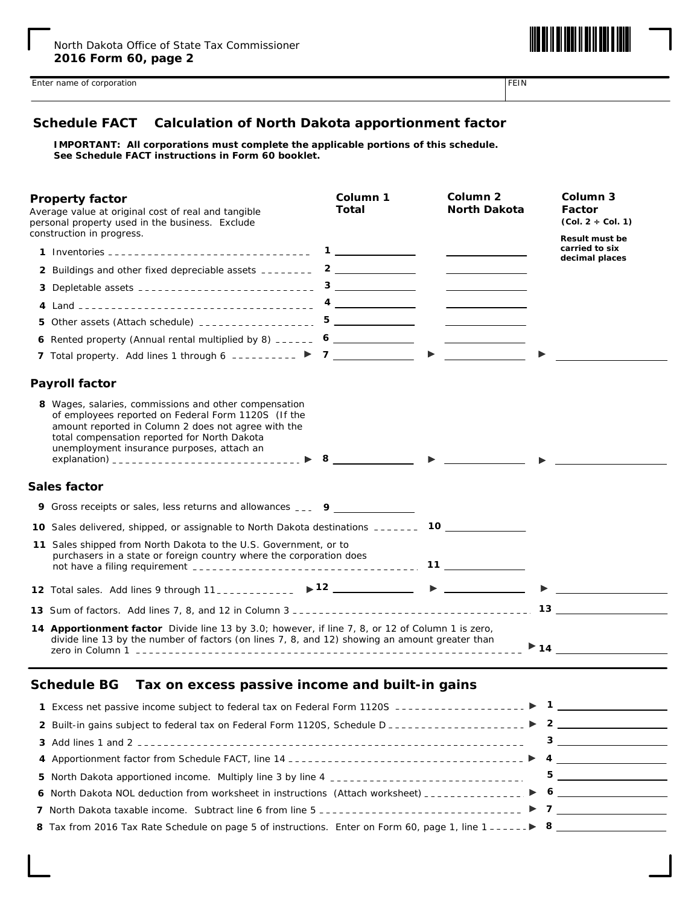

#### **Schedule FACT Calculation of North Dakota apportionment factor**

**IMPORTANT: All corporations must complete the applicable portions of this schedule. See Schedule FACT instructions in Form 60 booklet.**

| <b>Property factor</b><br>construction in progress. | Average value at original cost of real and tangible<br>personal property used in the business. Exclude                                                                                                                                                            | Column 1<br><b>Total</b> |                                                                                                                                                                                                                                                                                                                                                     | Column <sub>2</sub><br><b>North Dakota</b>                                                                                                                                                                                           | Column 3<br>Factor<br>$(Col. 2 \div Col. 1)$<br><b>Result must be</b> |
|-----------------------------------------------------|-------------------------------------------------------------------------------------------------------------------------------------------------------------------------------------------------------------------------------------------------------------------|--------------------------|-----------------------------------------------------------------------------------------------------------------------------------------------------------------------------------------------------------------------------------------------------------------------------------------------------------------------------------------------------|--------------------------------------------------------------------------------------------------------------------------------------------------------------------------------------------------------------------------------------|-----------------------------------------------------------------------|
|                                                     |                                                                                                                                                                                                                                                                   |                          |                                                                                                                                                                                                                                                                                                                                                     | <u> The Communication of the Communication</u>                                                                                                                                                                                       | carried to six<br>decimal places                                      |
|                                                     | 2 Buildings and other fixed depreciable assets ________ 2 _____________                                                                                                                                                                                           |                          |                                                                                                                                                                                                                                                                                                                                                     | <u>and the state of the state of the state</u>                                                                                                                                                                                       |                                                                       |
|                                                     |                                                                                                                                                                                                                                                                   |                          |                                                                                                                                                                                                                                                                                                                                                     | <u>and the state of the state</u>                                                                                                                                                                                                    |                                                                       |
|                                                     |                                                                                                                                                                                                                                                                   |                          |                                                                                                                                                                                                                                                                                                                                                     |                                                                                                                                                                                                                                      |                                                                       |
|                                                     |                                                                                                                                                                                                                                                                   |                          |                                                                                                                                                                                                                                                                                                                                                     | $\overline{\phantom{a}}$ . The contract of $\overline{\phantom{a}}$                                                                                                                                                                  |                                                                       |
|                                                     | 6 Rented property (Annual rental multiplied by 8) ______ 6 _____________                                                                                                                                                                                          |                          |                                                                                                                                                                                                                                                                                                                                                     | <u> Albany a Communication and the Communication of the Communication of the Communication of the Communication of the Communication of the Communication of the Communication of the Communication of the Communication of the </u> |                                                                       |
|                                                     |                                                                                                                                                                                                                                                                   |                          | $\blacktriangleright$                                                                                                                                                                                                                                                                                                                               | <u> 1989 - Andrea Sta</u>                                                                                                                                                                                                            |                                                                       |
| <b>Payroll factor</b>                               |                                                                                                                                                                                                                                                                   |                          |                                                                                                                                                                                                                                                                                                                                                     |                                                                                                                                                                                                                                      |                                                                       |
|                                                     | 8 Wages, salaries, commissions and other compensation<br>of employees reported on Federal Form 1120S (If the<br>amount reported in Column 2 does not agree with the<br>total compensation reported for North Dakota<br>unemployment insurance purposes, attach an |                          | $\begin{picture}(20,20) \put(0,0){\line(1,0){10}} \put(15,0){\line(1,0){10}} \put(15,0){\line(1,0){10}} \put(15,0){\line(1,0){10}} \put(15,0){\line(1,0){10}} \put(15,0){\line(1,0){10}} \put(15,0){\line(1,0){10}} \put(15,0){\line(1,0){10}} \put(15,0){\line(1,0){10}} \put(15,0){\line(1,0){10}} \put(15,0){\line(1,0){10}} \put(15,0){\line(1$ |                                                                                                                                                                                                                                      |                                                                       |
| Sales factor                                        |                                                                                                                                                                                                                                                                   |                          |                                                                                                                                                                                                                                                                                                                                                     |                                                                                                                                                                                                                                      |                                                                       |
|                                                     | <b>9</b> Gross receipts or sales, less returns and allowances ____ 9                                                                                                                                                                                              |                          |                                                                                                                                                                                                                                                                                                                                                     |                                                                                                                                                                                                                                      |                                                                       |
|                                                     | 10 Sales delivered, shipped, or assignable to North Dakota destinations _______ 10 ________________                                                                                                                                                               |                          |                                                                                                                                                                                                                                                                                                                                                     |                                                                                                                                                                                                                                      |                                                                       |
|                                                     | 11 Sales shipped from North Dakota to the U.S. Government, or to<br>purchasers in a state or foreign country where the corporation does                                                                                                                           |                          |                                                                                                                                                                                                                                                                                                                                                     | $11 \quad \qquad \qquad$                                                                                                                                                                                                             |                                                                       |
|                                                     | 12 Total sales. Add lines 9 through 11____________ > 12 __________                                                                                                                                                                                                |                          |                                                                                                                                                                                                                                                                                                                                                     | $\blacktriangleright$                                                                                                                                                                                                                |                                                                       |
|                                                     |                                                                                                                                                                                                                                                                   |                          |                                                                                                                                                                                                                                                                                                                                                     |                                                                                                                                                                                                                                      | $13$ and $13$ and $13$ and $13$ and $13$ and $13$ and $13$            |
|                                                     | 14 Apportionment factor Divide line 13 by 3.0; however, if line 7, 8, or 12 of Column 1 is zero,<br>divide line 13 by the number of factors (on lines 7, 8, and 12) showing an amount greater than                                                                |                          |                                                                                                                                                                                                                                                                                                                                                     |                                                                                                                                                                                                                                      | $\blacktriangleright$ 14 $\blacksquare$                               |

#### **Schedule BG Tax on excess passive income and built-in gains**

| 8 Tax from 2016 Tax Rate Schedule on page 5 of instructions. Enter on Form 60, page 1, line $1 - - - - -$ 8 |  |  |
|-------------------------------------------------------------------------------------------------------------|--|--|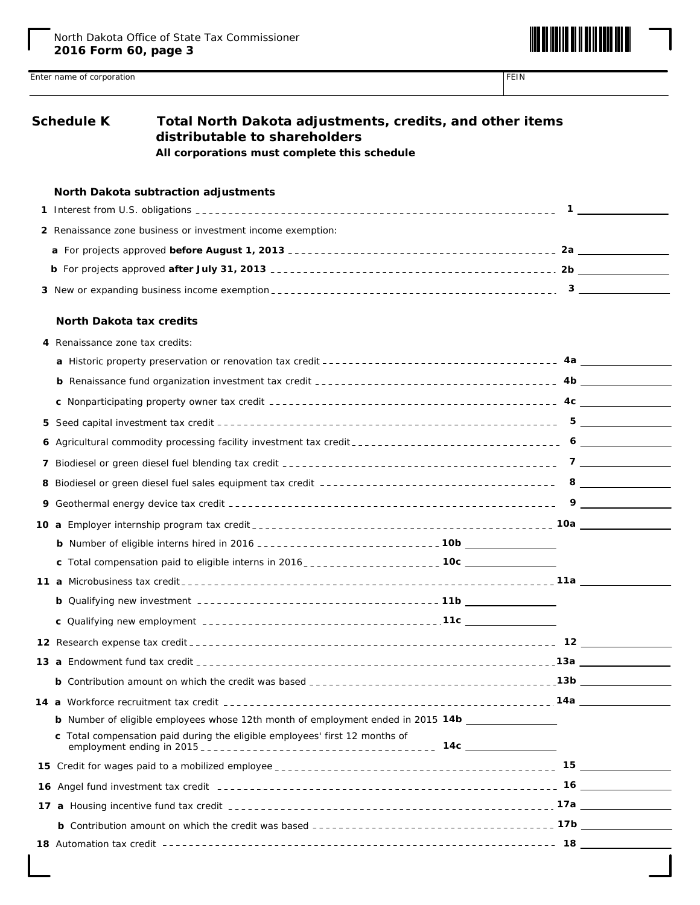

| <b>Schedule K</b>               | Total North Dakota adjustments, credits, and other items<br>distributable to shareholders<br>All corporations must complete this schedule |  |
|---------------------------------|-------------------------------------------------------------------------------------------------------------------------------------------|--|
|                                 | North Dakota subtraction adjustments                                                                                                      |  |
|                                 |                                                                                                                                           |  |
|                                 | 2 Renaissance zone business or investment income exemption:                                                                               |  |
|                                 |                                                                                                                                           |  |
|                                 |                                                                                                                                           |  |
|                                 |                                                                                                                                           |  |
| <b>North Dakota tax credits</b> |                                                                                                                                           |  |
| 4 Renaissance zone tax credits: |                                                                                                                                           |  |
|                                 |                                                                                                                                           |  |
|                                 |                                                                                                                                           |  |
|                                 |                                                                                                                                           |  |
|                                 |                                                                                                                                           |  |
|                                 |                                                                                                                                           |  |
|                                 |                                                                                                                                           |  |
|                                 |                                                                                                                                           |  |
|                                 |                                                                                                                                           |  |
|                                 |                                                                                                                                           |  |
|                                 |                                                                                                                                           |  |
|                                 |                                                                                                                                           |  |
|                                 |                                                                                                                                           |  |
|                                 |                                                                                                                                           |  |
|                                 |                                                                                                                                           |  |
|                                 |                                                                                                                                           |  |
|                                 |                                                                                                                                           |  |
|                                 |                                                                                                                                           |  |
|                                 |                                                                                                                                           |  |
|                                 | <b>b</b> Number of eligible employees whose 12th month of employment ended in 2015 14b                                                    |  |
|                                 | c Total compensation paid during the eligible employees' first 12 months of                                                               |  |
|                                 |                                                                                                                                           |  |
|                                 |                                                                                                                                           |  |
|                                 |                                                                                                                                           |  |
|                                 |                                                                                                                                           |  |
|                                 |                                                                                                                                           |  |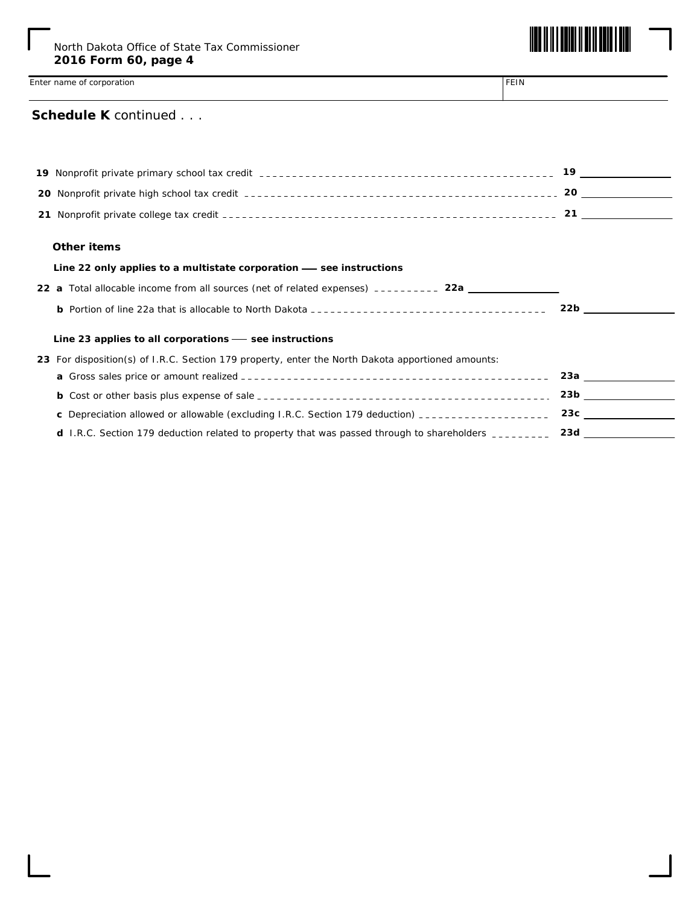

### **Schedule K** *continued . . .*

| Other items                                                                                          |                                                                                                                |
|------------------------------------------------------------------------------------------------------|----------------------------------------------------------------------------------------------------------------|
| Line 22 only applies to a multistate corporation — see instructions                                  |                                                                                                                |
| 22 a Total allocable income from all sources (net of related expenses) __________ 22a _____________  |                                                                                                                |
|                                                                                                      | 22b and the set of the set of the set of the set of the set of the set of the set of the set of the set of the |
| Line 23 applies to all corporations $-$ see instructions                                             |                                                                                                                |
| 23 For disposition(s) of I.R.C. Section 179 property, enter the North Dakota apportioned amounts:    |                                                                                                                |
|                                                                                                      | 23a                                                                                                            |
|                                                                                                      | 23b                                                                                                            |
| <b>c</b> Depreciation allowed or allowable (excluding I.R.C. Section 179 deduction) $\frac{1}{2}$    | 23c                                                                                                            |
| d I.R.C. Section 179 deduction related to property that was passed through to shareholders _________ | 23d                                                                                                            |
|                                                                                                      |                                                                                                                |